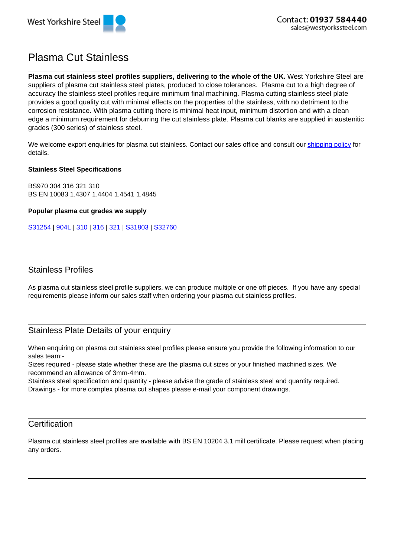

# Plasma Cut Stainless

**Plasma cut stainless steel profiles suppliers, delivering to the whole of the UK.** West Yorkshire Steel are suppliers of plasma cut stainless steel plates, produced to close tolerances. Plasma cut to a high degree of accuracy the stainless steel profiles require minimum final machining. Plasma cutting stainless steel plate provides a good quality cut with minimal effects on the properties of the stainless, with no detriment to the corrosion resistance. With plasma cutting there is minimal heat input, minimum distortion and with a clean edge a minimum requirement for deburring the cut stainless plate. Plasma cut blanks are supplied in austenitic grades (300 series) of stainless steel.

We welcome export enquiries for plasma cut stainless. Contact our sales office and consult our shipping policy for details.

#### **Stainless Steel Specifications**

BS970 304 316 321 310 BS EN 10083 1.4307 1.4404 1.4541 1.4845

**Popular plasma cut grades we supply**

S31254 | 904L | 310 | 316 | 321 | S31803 | S32760

### Stainless Profiles

As plasma cut stainless steel profile suppliers, we can produce multiple or one off pieces. If you have any special requirements please inform our sales staff when ordering your plasma cut stainless profiles.

## Stainless Plate Details of your enquiry

When enquiring on plasma cut stainless steel profiles please ensure you provide the following information to our sales team:-

Sizes required - please state whether these are the plasma cut sizes or your finished machined sizes. We recommend an allowance of 3mm-4mm.

Stainless steel specification and quantity - please advise the grade of stainless steel and quantity required. Drawings - for more complex plasma cut shapes please e-mail your component drawings.

### **Certification**

Plasma cut stainless steel profiles are available with BS EN 10204 3.1 mill certificate. Please request when placing any orders.